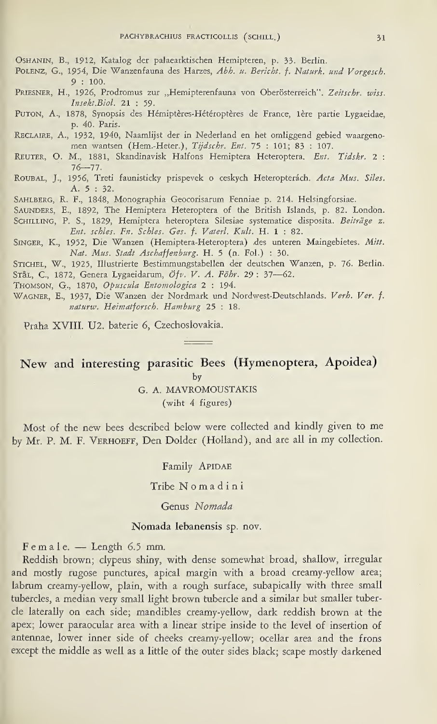OSHANIN, B., 1912, Katalog der palaearktischen Hemipteren, p. 33. Berlin.

- Polenz, G., 1954, Die Wanzenfauna des Harzes, Abh. u. Bericht. f. Naturk, und Vorgesch. 9 : 100.
- PRIESNER, H., 1926, Prodromus zur "Hemipterenfauna von Oberösterreich". Zeitschr. wiss. Insekt.Biol. 21 : 59.
- Futon, A., 1878, Synopsis des Hémiptères-Hétéroptères de France, 1ère partie Lygaeidae, p. 40. Paris.
- RECLAIRE, A., 1932, 1940, Naamlijst der in Nederland en het omliggend gebied waargenomen wantsen (Hem. Heter.), Tijdschr. Ent. 75 : 101; 83 : 107.
- REUTER, O. M., 1881, Skandinavisk Halfons Hemiptera Heteroptera. Ent. Tidskr. 2 : 76—77.
- ROUBAL, J., 1956, Treti faunisticky prispevek o ceskych Heteropterách. Acta Mus. Siles. A. 5 : 32.
- Sahlberg, R. F., 1848, Monographia Geocorisarum Fenniae p. 214. Helsingforsiae.
- SAUNDERS, E., 1892, The Hemiptera Heteroptera of the British Islands, p. 82. London.
- SCHILLING, P. S., 1829, Hemiptera heteroptera Silesiae systematice disposita. Beiträge z. Ent. schies. En. Schies. Ges. f. Vaterl. Kult. H. <sup>1</sup> : 82.
- Singer, K., 1952, Die Wanzen (Hemiptera-Heteroptera) des unteren Maingebietes. Mitt. Nat. Mus. Stadt Aschaffenburg. H. 5 (n. Fol.) : 30.
- Stichel, W., 1925, Illustrierte Bestimmungstabellen der deutschen Wanzen, p. 76. Berlin. Srål, C., 1872, Genera Lygaeidarum, Öfv. V. A. Föhr. 29: 37-62.
- Thomson, G., 1870, Opuscula Entomologica 2 : 194.

WAGNER, E., 1937, Die Wanzen der Nordmark und Nordwest-Deutschlands. Verh. Ver. f. naturw. Heimatforsch. Hamburg 25 : 18.

Praha XVIII. U2. baterie 6, Czechoslovakia.

# New and interesting parasitic Bees (Hymenoptera, Apoidea)

by

### G. A. MAVROMOUSTAKIS (wiht 4 figures)

Most of the new bees described below were collected and kindly given to me by Mr. P. M. F. VERHOEFF, Den Dolder (Holland), and are all in my collection.

Family APIDAE

Tribe Nomadini

Genus Nomada

### Nomada lebanensis sp. nov.

 $Female.$  - Length 6.5 mm.

Reddish brown; clypeus shiny, with dense somewhat broad, shallow, irregular and mostly rugose punctures, apical margin with a broad creamy-yellow area; labrum creamy-yellow, plain, with a rough surface, subapically with three small tubercles, a median very small light brown tubercle and a similar but smaller tubercle laterally on each side; mandibles creamy-yellow, dark reddish brown at the apex; lower paraocular area with a linear stripe inside to the level of insertion of antennae, lower inner side of cheeks creamy-yellow; ocellar area and the frons except the middle as well as a little of the outer sides black; scape mostly darkened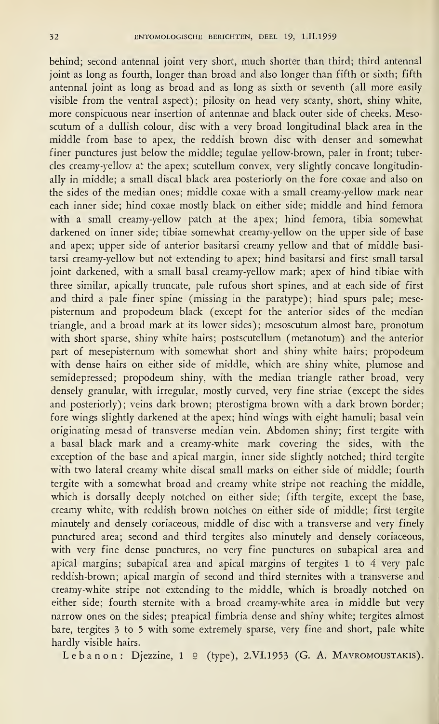behind; second antennal joint very short, much shorter than third; third antennal joint as long as fourth, longer than broad and also longer than fifth or sixth; fifth antennal joint as long as broad and as long as sixth or seventh (all more easily visible from the ventral aspect); pilosity on head very scanty, short, shiny white, more conspicuous near insertion of antennae and black outer side of cheeks. Mesoscutum of a dullish colour, disc with a very broad longitudinal black area in the middle from base to apex, the reddish brown disc with denser and somewhat finer punctures just below the middle; tegulae yellow-brown, paler in front; tubercles creamy-yellow at the apex; scutellum convex, very slightly concave longitudinally in middle; a small discal black area posteriorly on the fore coxae and also on the sides of the median ones; middle coxae with a small creamy-yellow mark near each inner side; hind coxae mostly black on either side; middle and hind femora with a small creamy-yellow patch at the apex; hind femora, tibia somewhat darkened on inner side; tibiae somewhat creamy-yellow on the upper side of base and apex; upper side of anterior basitarsi creamy yellow and that of middle basitarsi creamy-yellow but not extending to apex; hind basitarsi and first small tarsal joint darkened, with a small basal creamy-yellow mark; apex of hind tibiae with three similar, apically truncate, pale rufous short spines, and at each side of first and third a pale finer spine (missing in the paratype); hind spurs pale; mesepisternum and propodeum black (except for the anterior sides of the median triangle, and a broad mark at its lower sides); mesoscutum almost bare, pronotum with short sparse, shiny white hairs; postscutellum (metanotum) and the anterior part of mesepisternum with somewhat short and shiny white hairs; propodeum with dense hairs on either side of middle, which are shiny white, plumose and semidepressed; propodeum shiny, with the median triangle rather broad, very densely granular, with irregular, mostly curved, very fine striae (except the sides and posteriorly); veins dark brown; pterostigma brown with a dark brown border; fore wings slightly darkened at the apex; hind wings with eight hamuli; basal vein originating mesad of transverse median vein. Abdomen shiny; first tergite with a basal black mark and a creamy-white mark covering the sides, with the exception of the base and apical margin, inner side slightly notched; third tergite with two lateral creamy white discal small marks on either side of middle; fourth tergite with a somewhat broad and creamy white stripe not reaching the middle, which is dorsally deeply notched on either side; fifth tergite, except the base, creamy white, with reddish brown notches on either side of middle; first tergite minutely and densely coriaceous, middle of disc with a transverse and very finely punctured area; second and third tergites also minutely and densely coriaceous, with very fine dense punctures, no very fine punctures on subapical area and apical margins; subapical area and apical margins of tergites <sup>1</sup> to 4 very pale reddish-brown; apical margin of second and third sternites with a transverse and creamy-white stripe not extending to the middle, which is broadly notched on either side; fourth sternite with a broad creamy-white area in middle but very narrow ones on the sides; preapical fimbria dense and shiny white; tergites almost bare, tergites 3 to 5 with some extremely sparse, very fine and short, pale white hardly visible hairs.

Lebanon: Djezzine,  $1 \varphi$  (type), 2.VI.1953 (G. A. MAVROMOUSTAKIS).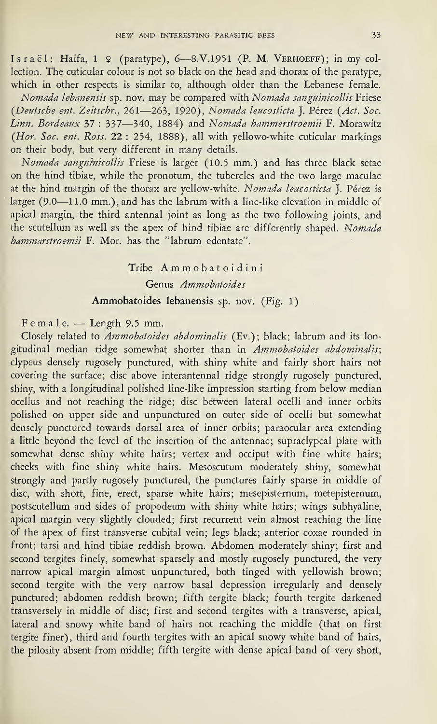Israël: Haifa, 1 º (paratype), 6-8.V.1951 (P. M. VERHOEFF); in my collection. The cuticular colour is not so black on the head and thorax of the paratype, which in other respects is similar to, although older than the Lebanese female.

Nomada lebanensis sp. nov. may be compared with Nomada sanguinicollis Friese (Deutsche ent. Zeitschr., 261—263, 1920), Nomada leucosticta J. Pérez (Act. Soc. Linn. Bordeaux 37 : 337—340, 1884) and Nomada hammerstroemii F. Morawitz (Hor. Soc. ent. Ross. 22 : 254, 1888), all with yellowo-white cuticular markings on their body, but very different in many details.

Nomada sanguinicollis Friese is larger (10.5 mm.) and has three black setae on the hind tibiae, while the pronotum, the tubercles and the two large maculae at the hind margin of the thorax are yellow-white. Nomada leucosticta J. Pérez is larger (9-0—11.0 mm.), and has the labrum with a line-like elevation in middle of apical margin, the third antennal joint as long as the two following joints, and the scutellum as well as the apex of hind tibiae are differently shaped. Nomada hammarstroemii F. Mor. has the ''labrum edentate".

## Tribe Ammobatoidini Genus Ammobatoides Ammobatoides lebanensis sp. nov. (Fig. 1)

### Female. — Length 9.5 mm.

Closely related to Ammobatoides abdominalis (Ev.); black; labrum and its longitudinal median ridge somewhat shorter than in Ammobatoides abdominalis; clypeus densely rugosely punctured, with shiny white and fairly short hairs not covering the surface; disc above interantennal ridge strongly rugosely punctured, shiny, with a longitudinal polished line-like impression starting from below median ocellus and not reaching the ridge; disc between lateral ocelli and inner orbits polished on upper side and unpunctured on outer side of ocelli but somewhat densely punctured towards dorsal area of inner orbits; paraocular area extending a little beyond the level of the insertion of the antennae; supraclypeal plate with somewhat dense shiny white hairs; vertex and occiput with fine white hairs; cheeks with fine shiny white hairs. Mesoscutum moderately shiny, somewhat strongly and partly rugosely punctured, the punctures fairly sparse in middle of disc, with short, fine, erect, sparse white hairs; mesepisternum, metepisternum, postscutellum and sides of propodeum with shiny white hairs; wings subhyaline, apical margin very slightly clouded; first recurrent vein almost reaching the line of the apex of first transverse cubital vein; legs black; anterior coxae rounded in front; tarsi and hind tibiae reddish brown. Abdomen moderately shiny; first and second tergites finely, somewhat sparsely and mostly rugosely punctured, the very narrow apical margin almost unpunctured, both tinged with yellowish brown; second tergite with the very narrow basal depression irregularly and densely punctured; abdomen reddish brown; fifth tergite black; fourth tergite darkened transversely in middle of disc; first and second tergites with a transverse, apical, lateral and snowy white band of hairs not reaching the middle (that on first tergite finer), third and fourth tergites with an apical snowy white band of hairs, the pilosity absent from middle; fifth tergite with dense apical band of very short,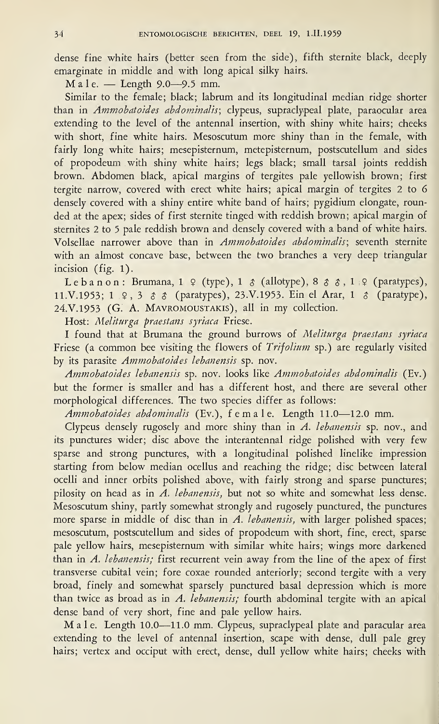dense fine white hairs (better seen from the side), fifth sternite black, deeply emarginate in middle and with long apical silky hairs.

 $M$  a l e.  $-$  Length 9.0 $-$ 9.5 mm.

Similar to the female; black; labrum and its longitudinal median ridge shorter than in Ammobatoides abdominalis; clypeus, supraclypeal plate, paraocular area extending to the level of the antennal insertion, with shiny white hairs; cheeks with short, fine white hairs. Mesoscutum more shiny than in the female, with fairly long white hairs; mesepisternum, metepisternum, postscutellum and sides of propodeum with shiny white hairs; legs black; small tarsal joints reddish brown. Abdomen black, apical margins of tergites pale yellowish brown; first tergite narrow, covered with erect white hairs; apical margin of tergites 2 to 6 densely covered with a shiny entire white band of hairs; pygidium elongate, rounded at the apex; sides of first sternite tinged with reddish brown; apical margin of sternites 2 to 5 pale reddish brown and densely covered with a band of white hairs. Volsellae narrower above than in Ammobatoides abdominalis; seventh sternite with an almost concave base, between the two branches a very deep triangular incision (fig. 1).

Lebanon: Brumana,  $1 \nsubseteq$  (type),  $1 \nsubseteq$  (allotype),  $8 \nsubseteq$   $3, 1 \nsubseteq$  (paratypes), 11.V.1953; 1  $\Omega$ , 3  $\delta$   $\delta$  (paratypes), 23.V.1953. Ein el Arar, 1  $\delta$  (paratype), 24.V. 1953 (G. A. Mavromoustakis), all in my collection.

Host: Meliturga praestans syriaca Friese.

I found that at Brumana the ground burrows of Meliturga praestans syriaca Friese (a common bee visiting the flowers of Trifolium sp.) are regularly visited by its parasite Ammobatoides lebanensis sp. nov.

Ammobatoides lebanensis sp. nov. looks like Ammobatoides abdominalis (Ev.) but the former is smaller and has a different host, and there are several other morphological differences. The two species differ as follows:

Ammobatoides abdominalis (Ev.), female. Length 11.0—12.0 mm.

Clypeus densely rugosely and more shiny than in A. lebanensis sp. nov., and its punctures wider; disc above the interantennal ridge polished with very few sparse and strong punctures, with a longitudinal polished linelike impression starting from below median ocellus and reaching the ridge; disc between lateral ocelli and inner orbits polished above, with fairly strong and sparse punctures; pilosity on head as in  $\hat{A}$ . lebanensis, but not so white and somewhat less dense. Mesoscutum shiny, partly somewhat strongly and rugosely punctured, the punctures more sparse in middle of disc than in A. lebanensis, with larger polished spaces; mesoscutum, postscutellum and sides of propodeum with short, fine, erect, sparse pale yellow hairs, mesepisternum with similar white hairs; wings more darkened than in A. lebanensis; first recurrent vein away from the line of the apex of first transverse cubital vein; fore coxae rounded anteriorly; second tergite with a very broad, finely and somewhat sparsely punctured basal depression which is more than twice as broad as in A. lebanensis; fourth abdominal tergite with an apical dense band of very short, fine and pale yellow hairs.

Male. Length 10.0—11.0 mm. Clypeus, supraclypeal plate and paracular area extending to the level of antennal insertion, scape with dense, dull pale grey hairs; vertex and occiput with erect, dense, dull yellow white hairs; cheeks with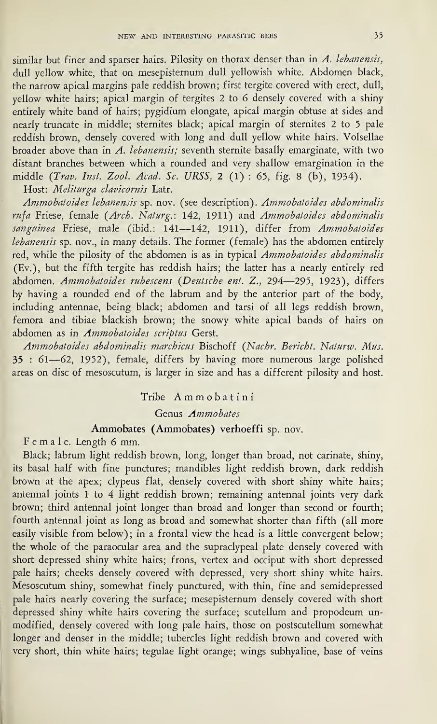similar but finer and sparser hairs. Pilosity on thorax denser than in  $A$ . lebanensis, dull yellow white, that on mesepisternum dull yellowish white. Abdomen black, the narrow apical margins pale reddish brown; first tergite covered with erect, dull, yellow white hairs; apical margin of tergites 2 to 6 densely covered with a shiny entirely white band of hairs; pygidium elongate, apical margin obtuse at sides and nearly truncate in middle; sternites black; apical margin of sternites 2 to <sup>5</sup> pale reddish brown, densely covered with long and dull yellow white hairs. Volsellae broader above than in A. lebanensis; seventh sternite basally emarginate, with two distant branches between which a rounded and very shallow emargination in the middle (Trav. Inst. Zool. Acad. Sc. URSS, <sup>2</sup> (1) : 65, fig. 8 (b), 1934).

Host: Meliturga clavicornis Latr.

Ammobatoides lebanensis sp. nov. (see description). Ammobatoides abdominalis rufa Friese, female (Arch. Naturg.: 142, 1911) and Ammobatoides abdominalis sanguinea Friese, male (ibid.: 141-142, 1911), differ from Ammobatoides lebanensis sp. nov., in many details. The former (female) has the abdomen entirely red, while the pilosity of the abdomen is as in typical Ammobatoides abdominalis (Ev.), but the fifth tergite has reddish hairs; the latter has a nearly entirely red abdomen. Ammobatoides rubescens {Deutsche ent. Z., 294—295, 1923), differs by having a rounded end of the labrum and by the anterior part of the body, including antennae, being black; abdomen and tarsi of all legs reddish brown, femora and tibiae blackish brown; the snowy white apical bands of hairs on abdomen as in Ammobatoides scriptus Gerst.

Ammobatoides abdominalis marchicus Bischoff {Nachr. Bericht. Naturw. Mus. 35 : 61—62, 1952), female, differs by having more numerous large polished areas on disc of mesoscutum, is larger in size and has a different pilosity and host.

### Tribe Ammobatini

Genus Ammobates

### Ammobates (Ammobates) verhoeffi sp. nov.

Female. Length <sup>6</sup> mm.

Black; labrum light reddish brown, long, longer than broad, not carinate, shiny, its basal half with fine punctures; mandibles light reddish brown, dark reddish brown at the apex; clypeus flat, densely covered with short shiny white hairs; antennal joints <sup>1</sup> to 4 light reddish brown; remaining antennal joints very dark brown; third antennal joint longer than broad and longer than second or fourth; fourth antennal joint as long as broad and somewhat shorter than fifth (all more easily visible from below); in a frontal view the head is a little convergent below; the whole of the paraocular area and the supraclypeal plate densely covered with short depressed shiny white hairs; frons, vertex and occiput with short depressed pale hairs; cheeks densely covered with depressed, very short shiny white hairs. Mesoscutum shiny, somewhat finely punctured, with thin, fine and semidepressed pale hairs nearly covering the surface; mesepisternum densely covered with short depressed shiny white hairs covering the surface; scutellum and propodeum un modified, densely covered with long pale hairs, those on postscutellum somewhat longer and denser in the middle; tubercles light reddish brown and covered with very short, thin white hairs; tegulae light orange; wings subhyaline, base of veins